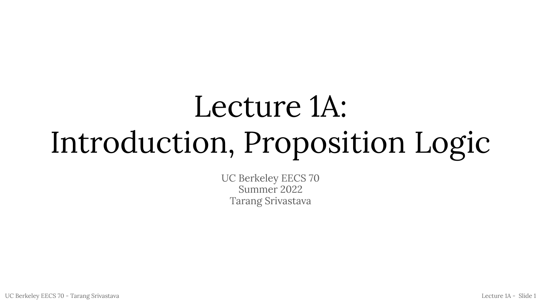# Lecture 1A: Introduction, Proposition Logic

UC Berkeley EECS 70 Summer 2022 Tarang Srivastava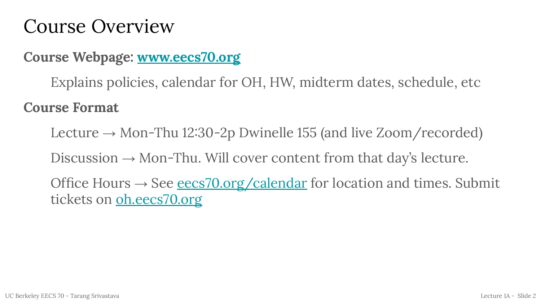#### Course Overview

#### Course Webpage: www.eecs70.org

Explains policies, calendar for OH, HW, midterm dates, schedule, etc

#### Course Format

Lecture  $\rightarrow$  Mon-Thu 12:30-2p Dwinelle 155 (and live Zoom/recorded)

Discussion  $\rightarrow$  Mon-Thu. Will cover content from that day's lecture.

Office Hours  $\rightarrow$  See eecs70.org/calendar for location and times. Submit tickets on oh.eecs70.org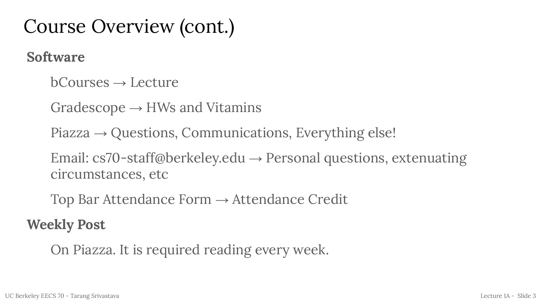### Course Overview (cont.)

Software

 $bCourses \rightarrow Lecture$ 

Gradescope  $\rightarrow$  HWs and Vitamins

 $Piazza \rightarrow Questions, Communications, Everything else!$ 

Email: cs70-staff@berkeley.edu  $\rightarrow$  Personal questions, extenuating circumstances, etc

Top Bar Attendance Form  $\rightarrow$  Attendance Credit

Weekly Post

On Piazza. It is required reading every week.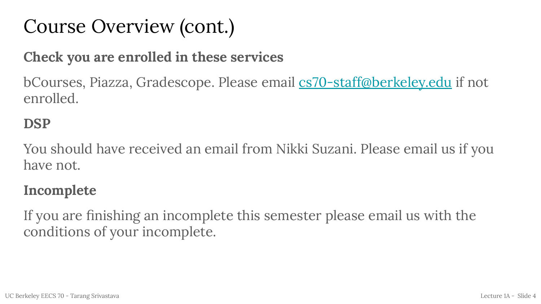### Course Overview (cont.)

#### Check you are enrolled in these services

bCourses, Piazza, Gradescope. Please email cs<del>70-staff@berkeley.edu</del> if not enrolled.

#### DSP

You should have received an email from Nikki Suzani. Please email us if you have not.

#### Incomplete

If you are finishing an incomplete this semester please email us with the conditions of your incomplete.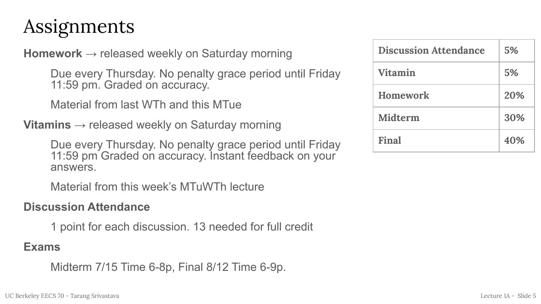### Assignments

**Homework**  $\rightarrow$  released weekly on Saturday morning

Due every Thursday. No penalty grace period until Friday 11:59 pm. Graded on accuracy.

Material from last WTh and this MTue

**Vitamins**  $\rightarrow$  released weekly on Saturday morning

Due every Thursday. No penalty grace period until Friday 11:59 pm Graded on accuracy. Instant feedback on your answers.

Material from this week's MTuWTh lecture

#### Discussion Attendance

1 point for each discussion. 13 needed for full credit

#### Exams

Midterm 7/15 Time 6-8p, Final 8/12 Time 6-9p.

| <b>Discussion Attendance</b> | 5%  |
|------------------------------|-----|
| <b>Vitamin</b>               | 5%  |
| <b>Homework</b>              | 20% |
| Midterm                      | 30% |
| Final                        | 40% |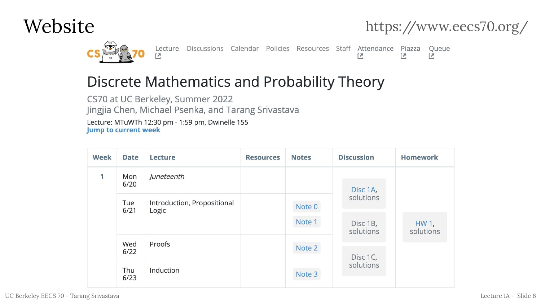





Lecture 区

Discussions Calendar Policies Resources Staff Attendance Piazza

Queue 진 凹

진

#### Discrete Mathematics and Probability Theory

CS70 at UC Berkeley, Summer 2022 Jingjia Chen, Michael Psenka, and Tarang Srivastava Lecture: MTuWTh 12:30 pm - 1:59 pm, Dwinelle 155 **Jump to current week** 

| <b>Week</b> | <b>Date</b> | Lecture                              | <b>Resources</b> | <b>Notes</b> | <b>Discussion</b>     | <b>Homework</b>    |
|-------------|-------------|--------------------------------------|------------------|--------------|-----------------------|--------------------|
| 1           | Mon<br>6/20 | Juneteenth                           |                  |              | Disc 1A,              |                    |
| Tue<br>6/21 |             | Introduction, Propositional<br>Logic |                  | Note 0       | solutions             |                    |
|             |             |                                      |                  | Note 1       | Disc 1B,<br>solutions | HW 1,<br>solutions |
|             | Wed<br>6/22 | Proofs                               |                  | Note 2       |                       |                    |
|             | Thu<br>6/23 | Induction                            |                  | Note 3       | Disc 1C,<br>solutions |                    |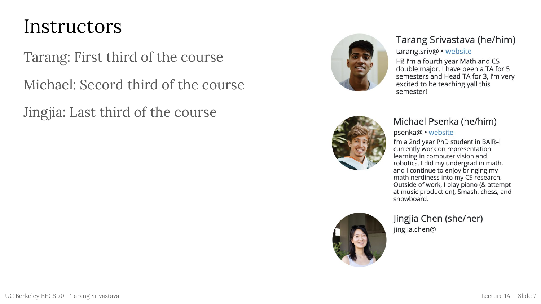#### Instructors

Tarang: First third of the course

Michael: Secord third of the course

Jingjia: Last third of the course



#### Tarang Srivastava (he/him)

#### tarang.sriv@ · website

Hi! I'm a fourth year Math and CS double major. I have been a TA for 5 semesters and Head TA for 3, I'm very excited to be teaching yall this semester!



#### Michael Psenka (he/him)

psenka@ · website

I'm a 2nd year PhD student in BAIR-I currently work on representation learning in computer vision and robotics. I did my undergrad in math, and I continue to enjoy bringing my math nerdiness into my CS research. Outside of work, I play piano (& attempt at music production), Smash, chess, and snowboard.

Jingjia Chen (she/her) jingjia.chen@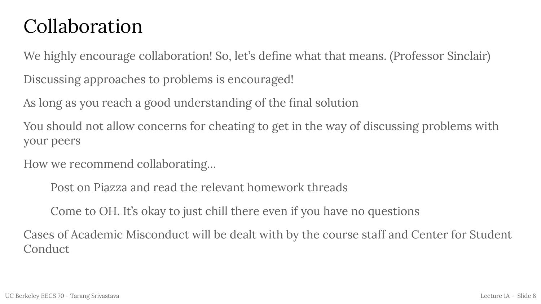### Collaboration

We highly encourage collaboration! So, let's define what that means. (Professor Sinclair)

Discussing approaches to problems is encouraged!

As long as you reach a good understanding of the final solution

You should not allow concerns for cheating to get in the way of discussing problems with your peers

How we recommend collaborating…

Post on Piazza and read the relevant homework threads

Come to OH. It's okay to just chill there even if you have no questions

Cases of Academic Misconduct will be dealt with by the course staff and Center for Student Conduct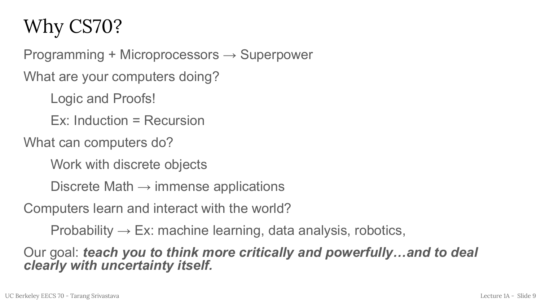## Why CS70?

Programming + Microprocessors → Superpower

What are your computers doing?

Logic and Proofs!

Ex: Induction = Recursion

What can computers do?

Work with discrete objects

Discrete Math  $\rightarrow$  immense applications

Computers learn and interact with the world?

Probability  $\rightarrow$  Ex: machine learning, data analysis, robotics,

Our goal: teach you to think more critically and powerfully…and to deal clearly with uncertainty itself.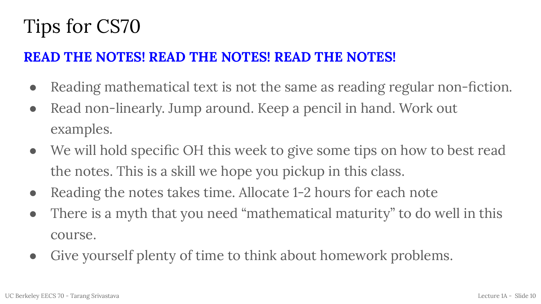## Tips for CS70

#### READ THE NOTES! READ THE NOTES! READ THE NOTES!

- Reading mathematical text is not the same as reading regular non-fiction.
- Read non-linearly. Jump around. Keep a pencil in hand. Work out examples.
- We will hold specific OH this week to give some tips on how to best read the notes. This is a skill we hope you pickup in this class.
- Reading the notes takes time. Allocate 1-2 hours for each note
- There is a myth that you need "mathematical maturity" to do well in this course.
- Give yourself plenty of time to think about homework problems.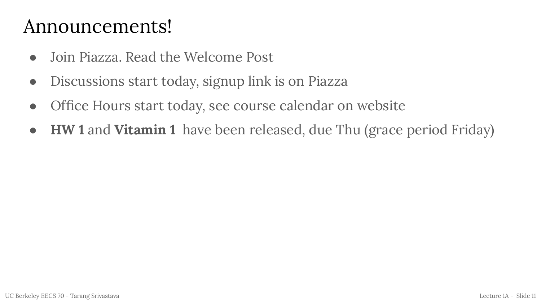#### Announcements!

- Join Piazza. Read the Welcome Post
- Discussions start today, signup link is on Piazza
- Office Hours start today, see course calendar on website
- HW 1 and Vitamin 1 have been released, due Thu (grace period Friday)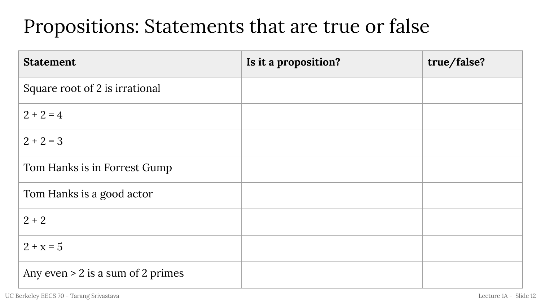#### Propositions: Statements that are true or false

| <b>Statement</b>                    | Is it a proposition? | true/false? |
|-------------------------------------|----------------------|-------------|
| Square root of 2 is irrational      |                      |             |
| $2 + 2 = 4$                         |                      |             |
| $2 + 2 = 3$                         |                      |             |
| Tom Hanks is in Forrest Gump        |                      |             |
| Tom Hanks is a good actor           |                      |             |
| $2 + 2$                             |                      |             |
| $2 + x = 5$                         |                      |             |
| Any even $> 2$ is a sum of 2 primes |                      |             |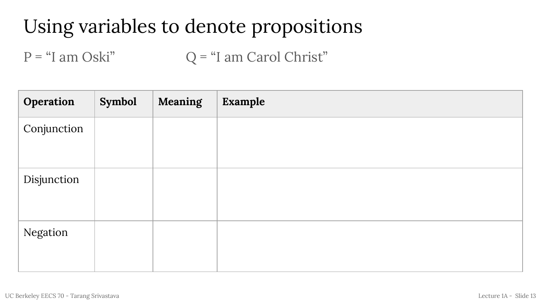## Using variables to denote propositions

 $P = "I am Oski"$   $Q = "I am Carol Christ"$ 

| Operation   | Symbol | Meaning | Example |
|-------------|--------|---------|---------|
| Conjunction |        |         |         |
| Disjunction |        |         |         |
| Negation    |        |         |         |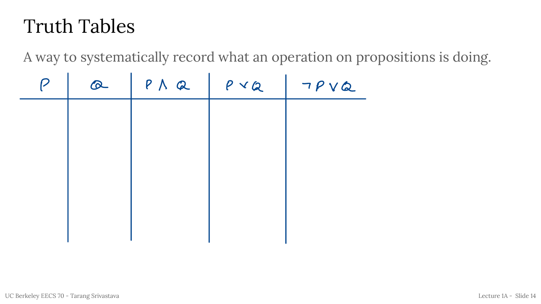### Truth Tables

A way to systematically record what an operation on propositions is doing.

|   | <b>Truth Tables</b> |              |              |                                                        |
|---|---------------------|--------------|--------------|--------------------------------------------------------|
|   |                     |              |              | A way to systematically record what an operation on pr |
| P | $\infty$            | $P \wedge Q$ | $P$ $\vee$ 2 | TPVQ                                                   |
|   |                     |              |              |                                                        |
|   |                     |              |              |                                                        |
|   |                     |              |              |                                                        |
|   |                     |              |              |                                                        |
|   |                     |              |              |                                                        |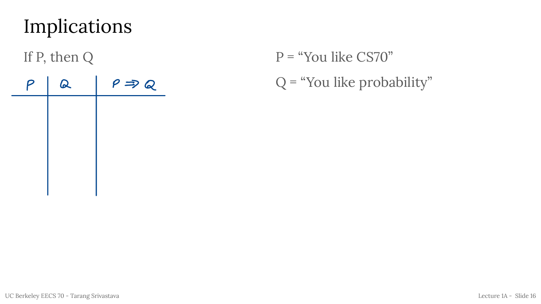## Implications

If P, then Q

- $P = "You like CS70"$
- $P \mid Q \mid P \Rightarrow Q$  Q = "You like probability"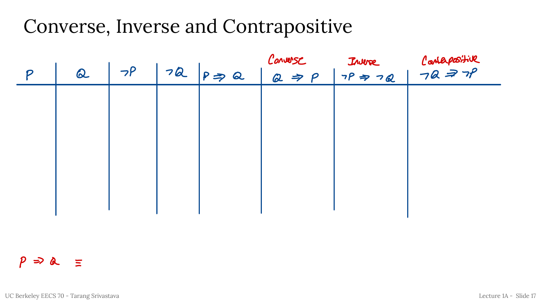#### Converse, Inverse and Contrapositive

|                  |          | $\epsilon$ |                         | $\mathbf{L}$<br>Converse |                    |
|------------------|----------|------------|-------------------------|--------------------------|--------------------|
| $\boldsymbol{p}$ | $\Omega$ | $\neg P$   | $172$ $p \Rightarrow Q$ | $2 \Rightarrow P$        | Inve Consepositive |
|                  |          |            |                         |                          |                    |
|                  |          |            |                         |                          |                    |
|                  |          |            |                         |                          |                    |
|                  |          |            |                         |                          |                    |
|                  |          |            |                         |                          |                    |
|                  |          |            |                         |                          |                    |

 $p \Rightarrow a =$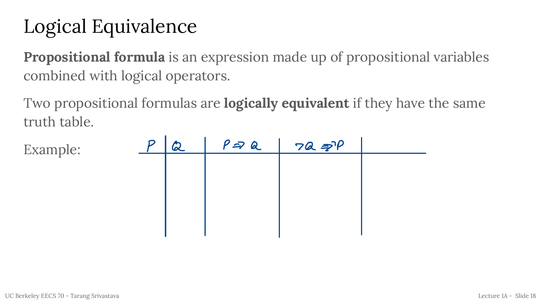## Logical Equivalence

**Propositional formula** is an expression made up of propositional variables combined with logical operators.

Two propositional formulas are **logically equivalent** if they have the same truth table.

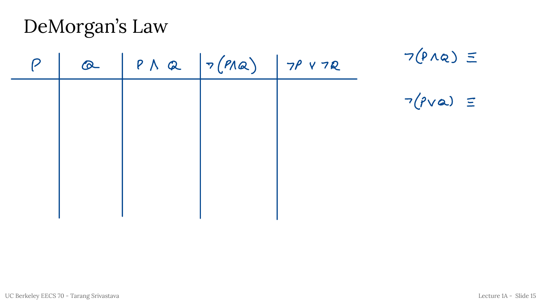## DeMorgan's Law

| $\mathcal{P}$ | $\alpha$ | $P\wedge Q$ $\neg(P\wedge Q)$ $\neg P\vee\neg Q$ | $7(P \wedge Q) \le$     |
|---------------|----------|--------------------------------------------------|-------------------------|
|               |          |                                                  | $\neg (f\vee a) \equiv$ |
|               |          |                                                  |                         |
|               |          |                                                  |                         |
|               |          |                                                  |                         |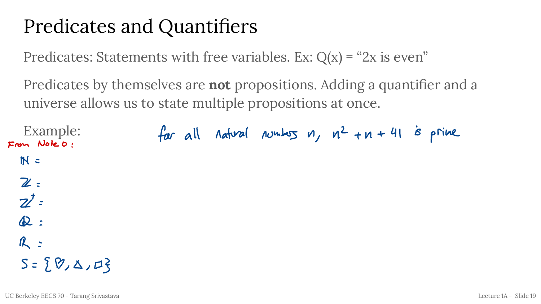### Predicates and Quantifiers

Predicates: Statements with free variables. Ex:  $Q(x) = "2x$  is even"

Predicates by themselves are **not** propositions. Adding a quantifier and a universe allows us to state multiple propositions at once.

Example: for all natural numbers  $n$ ,  $n^2 + n + 41$  is prime Fron Note 0 :  $M =$  $\mathbb{Z}$  :  $\mathbf{Z}^{\prime}$  =  $\infty$ :  $R$  =  $S = \{ \emptyset, \Delta, \Box \}$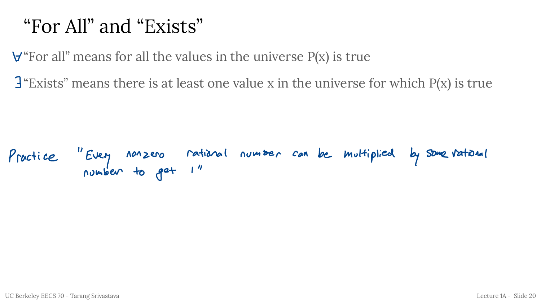### "For All" and "Exists"

 $\forall$  "For all" means for all the values in the universe P(x) is true

"Exists" means there is at least one value  ${\rm x}$  in the universe for which P(x) is true  $\mathbf{r}$ 

Practice " Every nonzero rational number can be multiplied by some rational number to get <sup>1</sup> "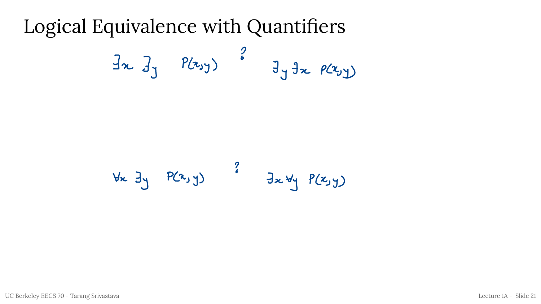#### Logical Equivalence with Quantifiers

$$
\exists x \ \exists y \quad P(x_0 y) \quad \stackrel{?}{=} \exists y \ \exists x \ \rho(x_0 y)
$$

$$
\forall x \exists y P(x,y)
$$
  $\exists x \forall y P(x,y)$